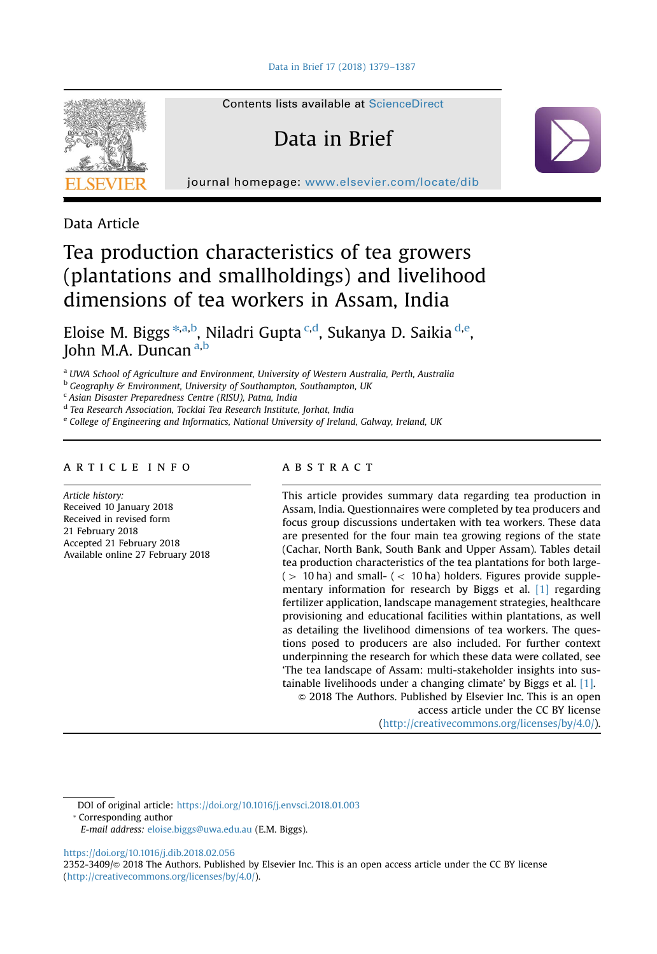

Contents lists available at [ScienceDirect](www.sciencedirect.com/science/journal/23523409)

# Data in Brief

journal homepage: <www.elsevier.com/locate/dib>

Data Article

## Tea production characteristics of tea growers (plantations and smallholdings) and livelihood dimensions of tea workers in Assam, India

Eloise M. Biggs \*,a,b, Niladri Gupta <sup>c,d</sup>, Sukanya D. Saikia <sup>d,e</sup>, John M.A. Duncan a,b

<sup>a</sup> UWA School of Agriculture and Environment, University of Western Australia, Perth, Australia

**b** Geography & Environment, University of Southampton, Southampton, UK

<sup>c</sup> Asian Disaster Preparedness Centre (RISU), Patna, India

<sup>d</sup> Tea Research Association, Tocklai Tea Research Institute, Jorhat, India

<sup>e</sup> College of Engineering and Informatics, National University of Ireland, Galway, Ireland, UK

## article info

Article history: Received 10 January 2018 Received in revised form 21 February 2018 Accepted 21 February 2018 Available online 27 February 2018

## **ABSTRACT**

This article provides summary data regarding tea production in Assam, India. Questionnaires were completed by tea producers and focus group discussions undertaken with tea workers. These data are presented for the four main tea growing regions of the state (Cachar, North Bank, South Bank and Upper Assam). Tables detail tea production characteristics of the tea plantations for both large-  $(> 10$  ha) and small-  $(< 10$  ha) holders. Figures provide supplementary information for research by Biggs et al. [\[1\]](#page-8-0) regarding fertilizer application, landscape management strategies, healthcare provisioning and educational facilities within plantations, as well as detailing the livelihood dimensions of tea workers. The questions posed to producers are also included. For further context underpinning the research for which these data were collated, see 'The tea landscape of Assam: multi-stakeholder insights into sustainable livelihoods under a changing climate' by Biggs et al. [\[1\].](#page-8-0)

 $\odot$  2018 The Authors. Published by Elsevier Inc. This is an open access article under the CC BY license (http://creativecommons.org/licenses/by/4.0/).

DOI of original article: [https://doi.org/10.1016/j.envsci.2018.01.003](http://dx.doi.org/10.1016/j.envsci.2018.01.003)

⁎ Corresponding author

<https://doi.org/10.1016/j.dib.2018.02.056>

2352-3409/© 2018 The Authors. Published by Elsevier Inc. This is an open access article under the CC BY license (http://creativecommons.org/licenses/by/4.0/).

E-mail address: [eloise.biggs@uwa.edu.au](mailto:eloise.biggs@uwa.edu.au) (E.M. Biggs).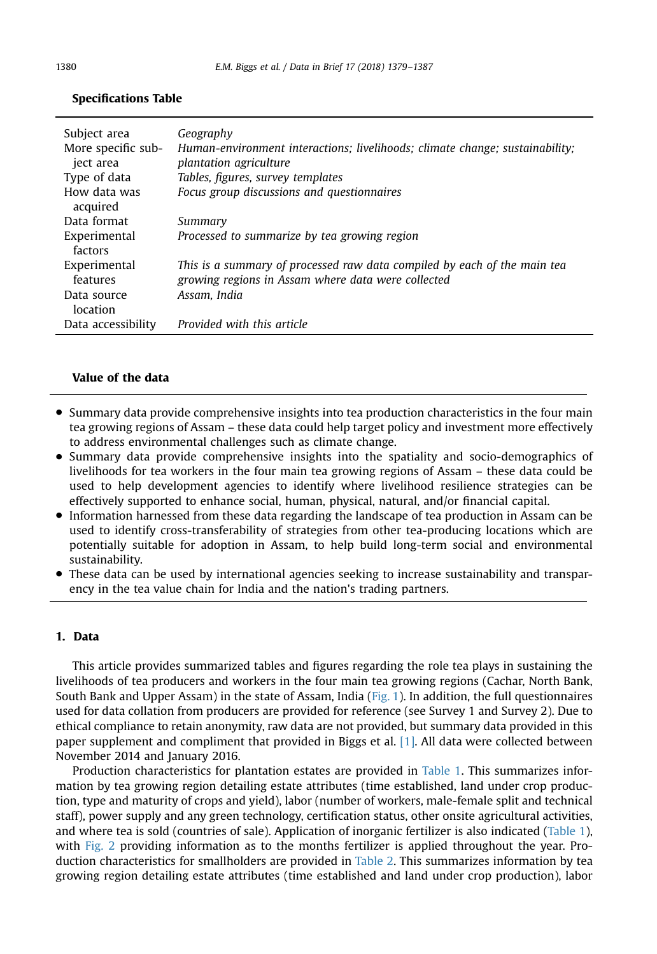| Subject area<br>More specific sub-<br>ject area | Geography<br>Human-environment interactions; livelihoods; climate change; sustainability;<br><i>plantation agriculture</i>     |
|-------------------------------------------------|--------------------------------------------------------------------------------------------------------------------------------|
| Type of data                                    | Tables, figures, survey templates                                                                                              |
| How data was<br>acquired                        | Focus group discussions and questionnaires                                                                                     |
| Data format                                     | Summary                                                                                                                        |
| Experimental<br>factors                         | Processed to summarize by tea growing region                                                                                   |
| Experimental<br>features                        | This is a summary of processed raw data compiled by each of the main tea<br>growing regions in Assam where data were collected |
| Data source<br>location                         | Assam. India                                                                                                                   |
| Data accessibility                              | Provided with this article                                                                                                     |

## Specifications Table

## Value of the data

- Summary data provide comprehensive insights into tea production characteristics in the four main tea growing regions of Assam – these data could help target policy and investment more effectively to address environmental challenges such as climate change.
- Summary data provide comprehensive insights into the spatiality and socio-demographics of livelihoods for tea workers in the four main tea growing regions of Assam – these data could be used to help development agencies to identify where livelihood resilience strategies can be effectively supported to enhance social, human, physical, natural, and/or financial capital.
- Information harnessed from these data regarding the landscape of tea production in Assam can be used to identify cross-transferability of strategies from other tea-producing locations which are potentially suitable for adoption in Assam, to help build long-term social and environmental sustainability.
- These data can be used by international agencies seeking to increase sustainability and transparency in the tea value chain for India and the nation's trading partners.

## 1. Data

This article provides summarized tables and figures regarding the role tea plays in sustaining the livelihoods of tea producers and workers in the four main tea growing regions (Cachar, North Bank, South Bank and Upper Assam) in the state of Assam, India ([Fig. 1](#page-2-0)). In addition, the full questionnaires used for data collation from producers are provided for reference (see Survey 1 and Survey 2). Due to ethical compliance to retain anonymity, raw data are not provided, but summary data provided in this paper supplement and compliment that provided in Biggs et al. [\[1\]](#page-8-0). All data were collected between November 2014 and January 2016.

Production characteristics for plantation estates are provided in [Table 1.](#page-3-0) This summarizes information by tea growing region detailing estate attributes (time established, land under crop production, type and maturity of crops and yield), labor (number of workers, male-female split and technical staff), power supply and any green technology, certification status, other onsite agricultural activities, and where tea is sold (countries of sale). Application of inorganic fertilizer is also indicated [\(Table 1](#page-3-0)), with [Fig. 2](#page-4-0) providing information as to the months fertilizer is applied throughout the year. Production characteristics for smallholders are provided in [Table 2](#page-4-0). This summarizes information by tea growing region detailing estate attributes (time established and land under crop production), labor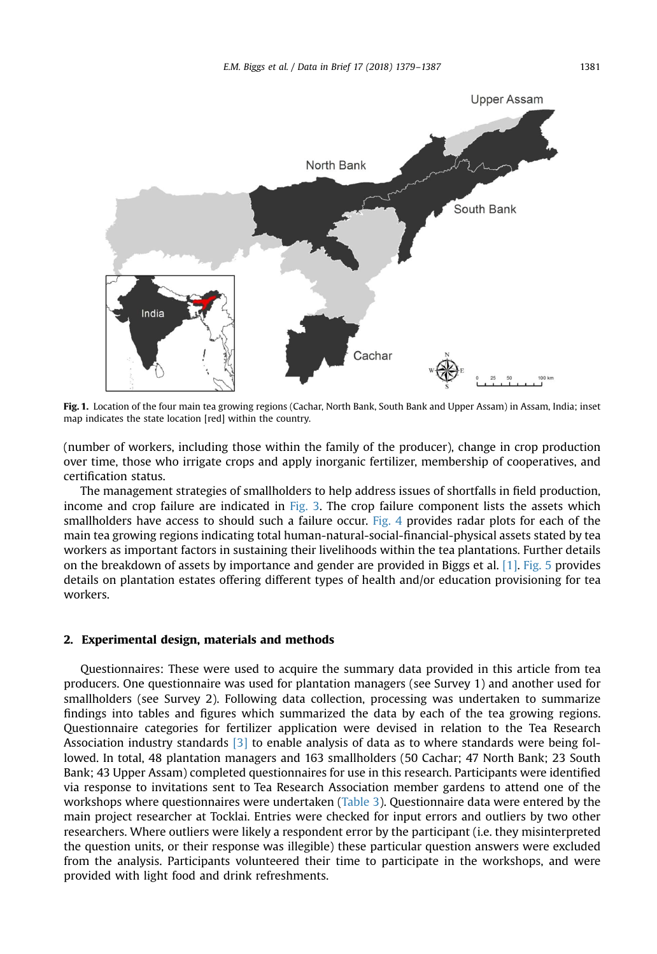<span id="page-2-0"></span>

Fig. 1. Location of the four main tea growing regions (Cachar, North Bank, South Bank and Upper Assam) in Assam, India; inset map indicates the state location [red] within the country.

(number of workers, including those within the family of the producer), change in crop production over time, those who irrigate crops and apply inorganic fertilizer, membership of cooperatives, and certification status.

The management strategies of smallholders to help address issues of shortfalls in field production, income and crop failure are indicated in [Fig. 3.](#page-5-0) The crop failure component lists the assets which smallholders have access to should such a failure occur. [Fig. 4](#page-6-0) provides radar plots for each of the main tea growing regions indicating total human-natural-social-financial-physical assets stated by tea workers as important factors in sustaining their livelihoods within the tea plantations. Further details on the breakdown of assets by importance and gender are provided in Biggs et al. [\[1\].](#page-8-0) [Fig. 5](#page-7-0) provides details on plantation estates offering different types of health and/or education provisioning for tea workers.

## 2. Experimental design, materials and methods

Questionnaires: These were used to acquire the summary data provided in this article from tea producers. One questionnaire was used for plantation managers (see Survey 1) and another used for smallholders (see Survey 2). Following data collection, processing was undertaken to summarize findings into tables and figures which summarized the data by each of the tea growing regions. Questionnaire categories for fertilizer application were devised in relation to the Tea Research Association industry standards  $\overline{3}$  to enable analysis of data as to where standards were being followed. In total, 48 plantation managers and 163 smallholders (50 Cachar; 47 North Bank; 23 South Bank; 43 Upper Assam) completed questionnaires for use in this research. Participants were identified via response to invitations sent to Tea Research Association member gardens to attend one of the workshops where questionnaires were undertaken [\(Table 3](#page-7-0)). Questionnaire data were entered by the main project researcher at Tocklai. Entries were checked for input errors and outliers by two other researchers. Where outliers were likely a respondent error by the participant (i.e. they misinterpreted the question units, or their response was illegible) these particular question answers were excluded from the analysis. Participants volunteered their time to participate in the workshops, and were provided with light food and drink refreshments.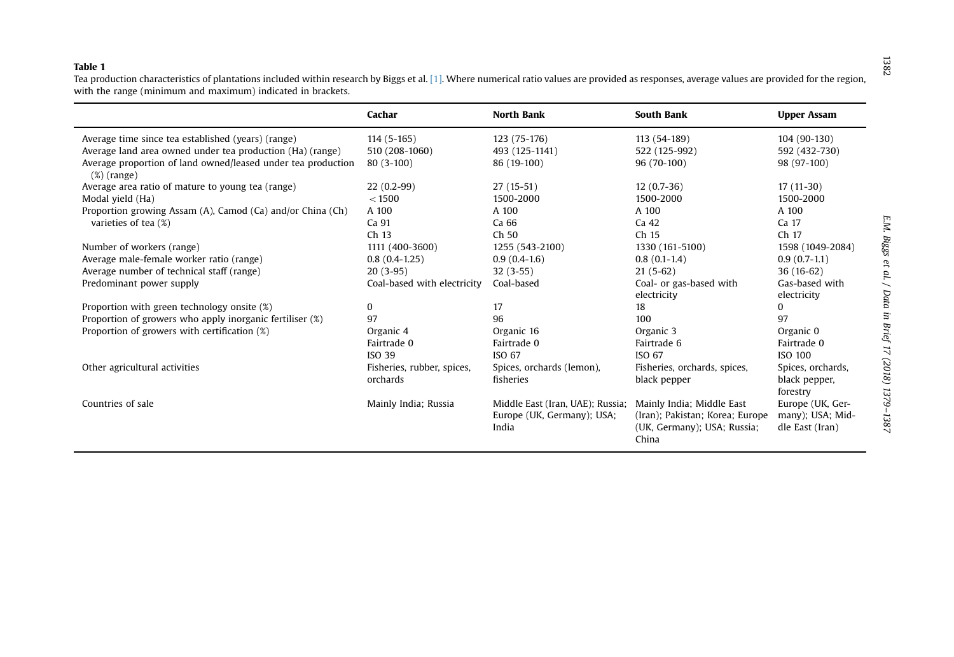## <span id="page-3-0"></span>Table 1

 Tea production characteristics of plantations included within research by Biggs et al. [\[1\]](#page-8-0). Where numerical ratio values are provided as responses, average values are provided for the region, with the range (minimum and maximum) indicated in brackets.

|                                                                                | Cachar                      | <b>North Bank</b>                                                       | <b>South Bank</b>                                            | <b>Upper Assam</b>                                      |
|--------------------------------------------------------------------------------|-----------------------------|-------------------------------------------------------------------------|--------------------------------------------------------------|---------------------------------------------------------|
| Average time since tea established (years) (range)                             | $114(5-165)$                | 123 (75-176)                                                            | 113 (54-189)                                                 | 104 (90-130)                                            |
| Average land area owned under tea production (Ha) (range)                      | 510 (208-1060)              | 493 (125-1141)                                                          | 522 (125-992)                                                | 592 (432-730)                                           |
| Average proportion of land owned/leased under tea production<br>$(\%)$ (range) | $80(3-100)$                 | 86 (19-100)                                                             | 96 (70-100)                                                  | 98 (97-100)                                             |
| Average area ratio of mature to young tea (range)                              | $22(0.2-99)$                | $27(15-51)$                                                             | $12(0.7-36)$                                                 | $17(11-30)$                                             |
| Modal yield (Ha)                                                               | < 1500                      | 1500-2000                                                               | 1500-2000                                                    | 1500-2000                                               |
| Proportion growing Assam (A), Camod (Ca) and/or China (Ch)                     | A 100                       | A 100                                                                   | A 100                                                        | A 100                                                   |
| varieties of tea (%)                                                           | Ca 91                       | Ca 66                                                                   | Ca 42                                                        | Ca 17                                                   |
|                                                                                | Ch 13                       | Ch 50                                                                   | Ch 15                                                        | Ch <sub>17</sub>                                        |
| Number of workers (range)                                                      | 1111 (400-3600)             | 1255 (543-2100)                                                         | 1330 (161-5100)                                              | 1598 (1049-2084)                                        |
| Average male-female worker ratio (range)                                       | $0.8(0.4-1.25)$             | $0.9(0.4-1.6)$                                                          | $0.8(0.1-1.4)$                                               | $0.9(0.7-1.1)$                                          |
| Average number of technical staff (range)                                      | $20(3-95)$                  | $32(3-55)$                                                              | $21(5-62)$                                                   | $36(16-62)$                                             |
| Predominant power supply                                                       | Coal-based with electricity | Coal-based                                                              | Coal- or gas-based with                                      | Gas-based with                                          |
|                                                                                |                             |                                                                         | electricity                                                  | electricity                                             |
| Proportion with green technology onsite (%)                                    | 0                           | 17                                                                      | 18                                                           | $\Omega$                                                |
| Proportion of growers who apply inorganic fertiliser (%)                       | 97                          | 96                                                                      | 100                                                          | 97                                                      |
| Proportion of growers with certification (%)                                   | Organic 4                   | Organic 16                                                              | Organic 3                                                    | Organic 0                                               |
|                                                                                | Fairtrade 0                 | Fairtrade 0                                                             | Fairtrade 6                                                  | Fairtrade 0                                             |
|                                                                                | ISO 39                      | ISO 67                                                                  | ISO 67                                                       | <b>ISO 100</b>                                          |
| Other agricultural activities                                                  | Fisheries, rubber, spices,  | Spices, orchards (lemon),                                               | Fisheries, orchards, spices,                                 | Spices, orchards,                                       |
|                                                                                | orchards                    | fisheries                                                               | black pepper                                                 | black pepper,<br>forestry                               |
| Countries of sale                                                              | Mainly India; Russia        | Middle East (Iran, UAE); Russia;<br>Europe (UK, Germany); USA;<br>India | Mainly India; Middle East<br>(Iran); Pakistan; Korea; Europe | Europe (UK, Ger-<br>many); USA; Mid-<br>dle East (Iran) |
|                                                                                |                             |                                                                         | (UK, Germany); USA; Russia;<br>China                         |                                                         |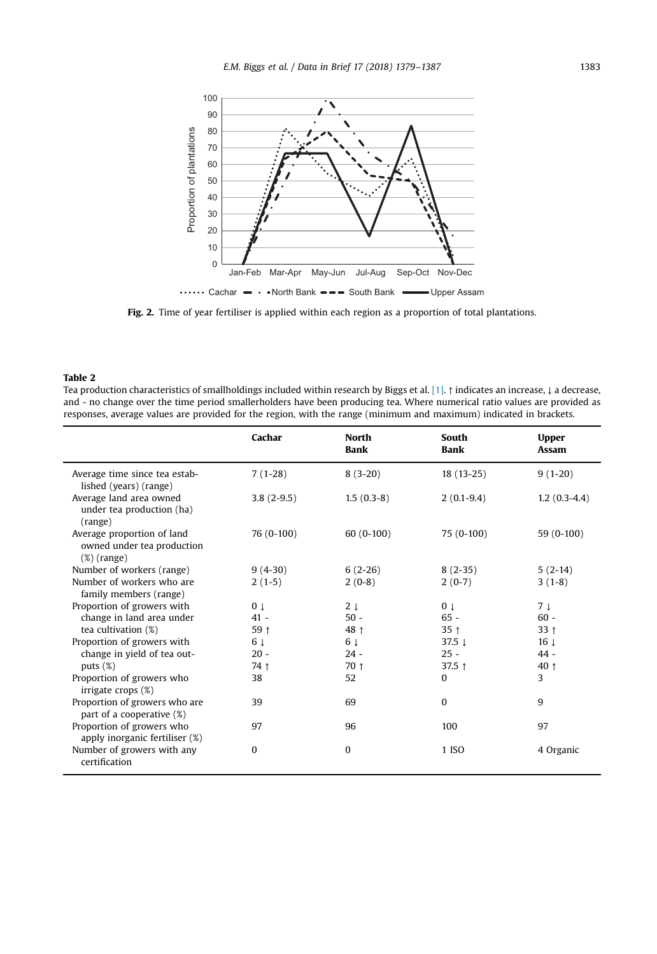<span id="page-4-0"></span>

Fig. 2. Time of year fertiliser is applied within each region as a proportion of total plantations.

#### Table 2

Tea production characteristics of smallholdings included within research by Biggs et al. [\[1\]](#page-8-0). ↑ indicates an increase, ↓ a decrease, and - no change over the time period smallerholders have been producing tea. Where numerical ratio values are provided as responses, average values are provided for the region, with the range (minimum and maximum) indicated in brackets.

|                                                                            | Cachar         | <b>North</b><br>Bank | South<br><b>Bank</b> | <b>Upper</b><br>Assam |
|----------------------------------------------------------------------------|----------------|----------------------|----------------------|-----------------------|
| Average time since tea estab-<br>lished (years) (range)                    | $7(1-28)$      | $8(3-20)$            | $18(13-25)$          | $9(1-20)$             |
| Average land area owned<br>under tea production (ha)<br>(range)            | $3.8(2-9.5)$   | $1.5(0.3-8)$         | $2(0.1-9.4)$         | $1.2(0.3-4.4)$        |
| Average proportion of land<br>owned under tea production<br>$(\%)$ (range) | 76 (0-100)     | $60(0-100)$          | 75 (0-100)           | 59 (0-100)            |
| Number of workers (range)                                                  | $9(4-30)$      | $6(2-26)$            | $8(2-35)$            | $5(2-14)$             |
| Number of workers who are<br>family members (range)                        | $2(1-5)$       | $2(0-8)$             | $2(0-7)$             | $3(1-8)$              |
| Proportion of growers with                                                 | 0 <sub>1</sub> | 2 <sub>1</sub>       | 0 <sub>1</sub>       | 7 t                   |
| change in land area under                                                  | $41 -$         | $50 -$               | $65 -$               | $60 -$                |
| tea cultivation (%)                                                        | 59 ↑           | 48 1                 | 35 <sub>1</sub>      | 33 <sub>1</sub>       |
| Proportion of growers with                                                 | 6 ↓            | 6 ↓                  | 37.5 $\downarrow$    | $16 \downarrow$       |
| change in yield of tea out-                                                | $20 -$         | $24 -$               | $25 -$               | $44 -$                |
| puts $(\%)$                                                                | 74 ↑           | $70 \uparrow$        | 37.5 $†$             | 40 1                  |
| Proportion of growers who<br>irrigate crops (%)                            | 38             | 52                   | $\Omega$             | 3                     |
| Proportion of growers who are<br>part of a cooperative (%)                 | 39             | 69                   | $\Omega$             | 9                     |
| Proportion of growers who<br>apply inorganic fertiliser (%)                | 97             | 96                   | 100                  | 97                    |
| Number of growers with any<br>certification                                | 0              | $\Omega$             | 1 ISO                | 4 Organic             |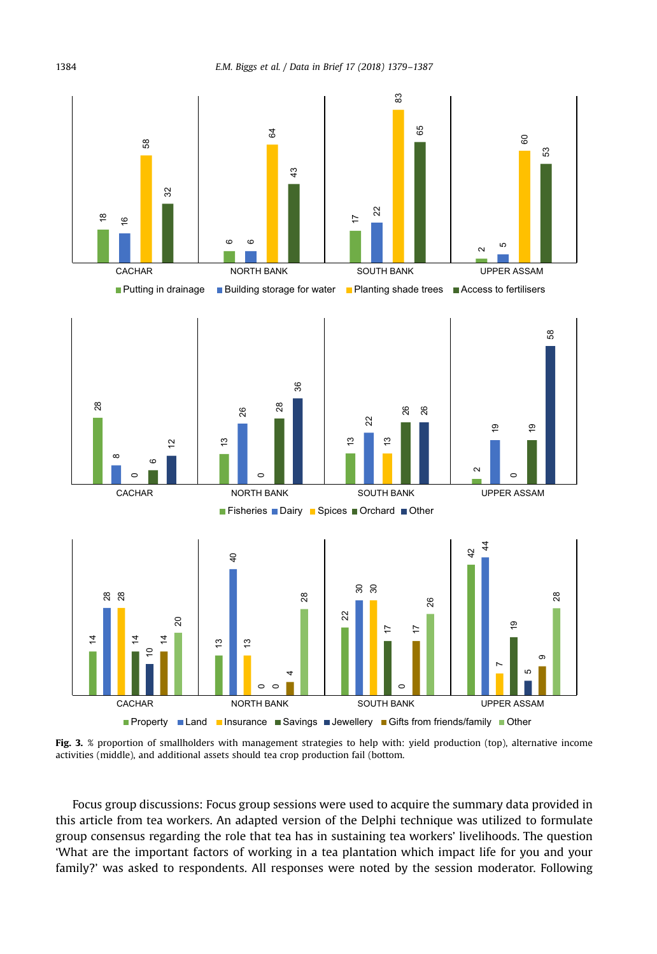<span id="page-5-0"></span>

Fig. 3. % proportion of smallholders with management strategies to help with: yield production (top), alternative income activities (middle), and additional assets should tea crop production fail (bottom.

Focus group discussions: Focus group sessions were used to acquire the summary data provided in this article from tea workers. An adapted version of the Delphi technique was utilized to formulate group consensus regarding the role that tea has in sustaining tea workers' livelihoods. The question 'What are the important factors of working in a tea plantation which impact life for you and your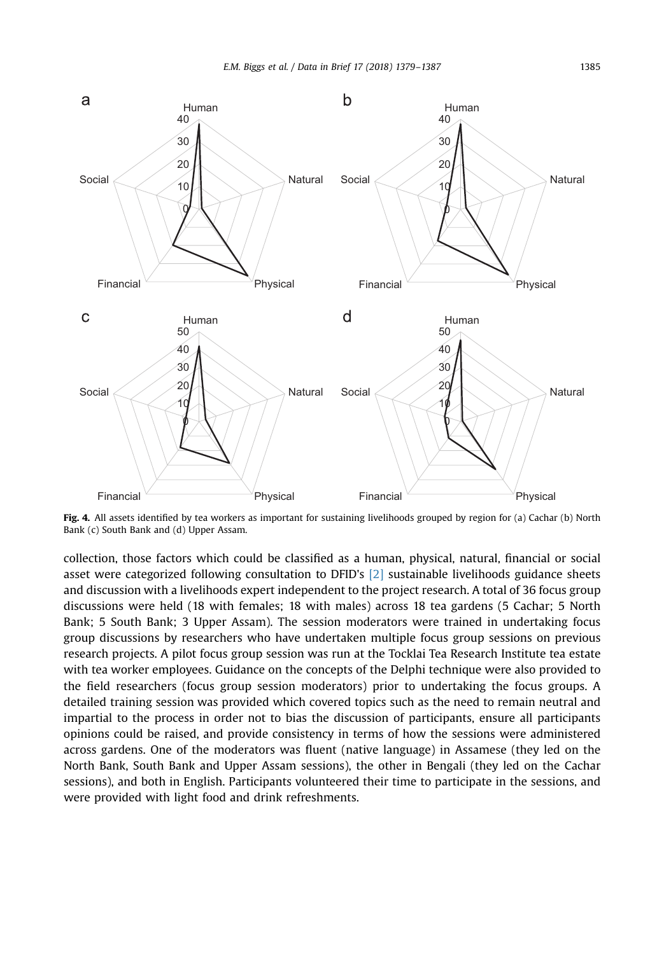<span id="page-6-0"></span>

Fig. 4. All assets identified by tea workers as important for sustaining livelihoods grouped by region for (a) Cachar (b) North Bank (c) South Bank and (d) Upper Assam.

collection, those factors which could be classified as a human, physical, natural, financial or social asset were categorized following consultation to DFID's [\[2\]](#page-8-0) sustainable livelihoods guidance sheets and discussion with a livelihoods expert independent to the project research. A total of 36 focus group discussions were held (18 with females; 18 with males) across 18 tea gardens (5 Cachar; 5 North Bank; 5 South Bank; 3 Upper Assam). The session moderators were trained in undertaking focus group discussions by researchers who have undertaken multiple focus group sessions on previous research projects. A pilot focus group session was run at the Tocklai Tea Research Institute tea estate with tea worker employees. Guidance on the concepts of the Delphi technique were also provided to the field researchers (focus group session moderators) prior to undertaking the focus groups. A detailed training session was provided which covered topics such as the need to remain neutral and impartial to the process in order not to bias the discussion of participants, ensure all participants opinions could be raised, and provide consistency in terms of how the sessions were administered across gardens. One of the moderators was fluent (native language) in Assamese (they led on the North Bank, South Bank and Upper Assam sessions), the other in Bengali (they led on the Cachar sessions), and both in English. Participants volunteered their time to participate in the sessions, and were provided with light food and drink refreshments.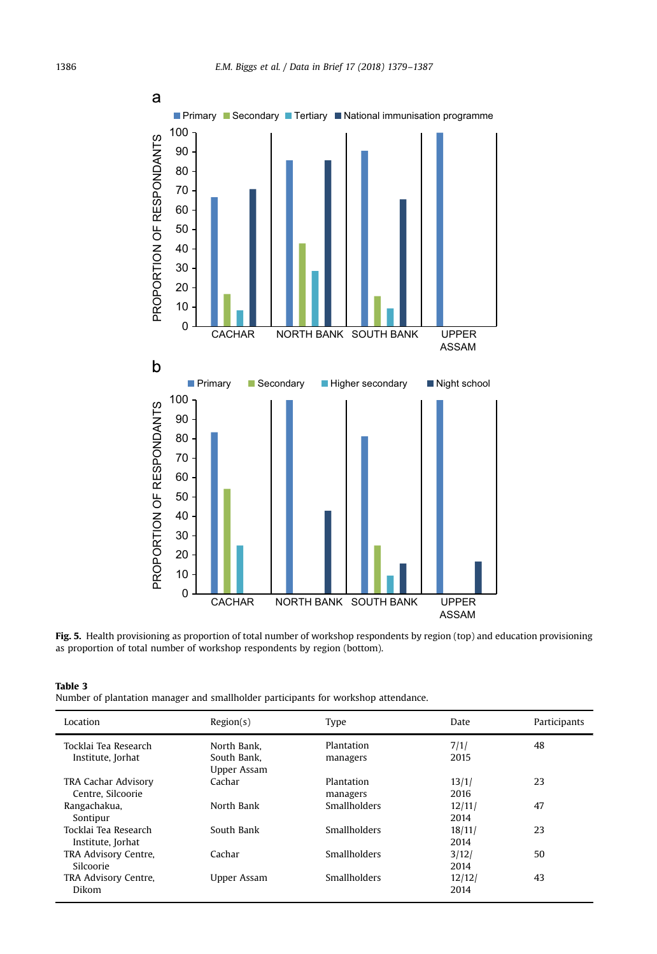<span id="page-7-0"></span>

Fig. 5. Health provisioning as proportion of total number of workshop respondents by region (top) and education provisioning as proportion of total number of workshop respondents by region (bottom).

Number of plantation manager and smallholder participants for workshop attendance.

| Location                                  | Region(s)                                 | Type                   | Date           | Participants |
|-------------------------------------------|-------------------------------------------|------------------------|----------------|--------------|
| Tocklai Tea Research<br>Institute, Jorhat | North Bank.<br>South Bank.<br>Upper Assam | Plantation<br>managers | 7/1/<br>2015   | 48           |
| TRA Cachar Advisory<br>Centre, Silcoorie  | Cachar                                    | Plantation<br>managers | 13/1/<br>2016  | 23           |
| Rangachakua,<br>Sontipur                  | North Bank                                | <b>Smallholders</b>    | 12/11/<br>2014 | 47           |
| Tocklai Tea Research<br>Institute, Jorhat | South Bank                                | <b>Smallholders</b>    | 18/11/<br>2014 | 23           |
| TRA Advisory Centre,<br>Silcoorie         | Cachar                                    | <b>Smallholders</b>    | 3/12/<br>2014  | 50           |
| TRA Advisory Centre,<br>Dikom             | Upper Assam                               | <b>Smallholders</b>    | 12/12/<br>2014 | 43           |